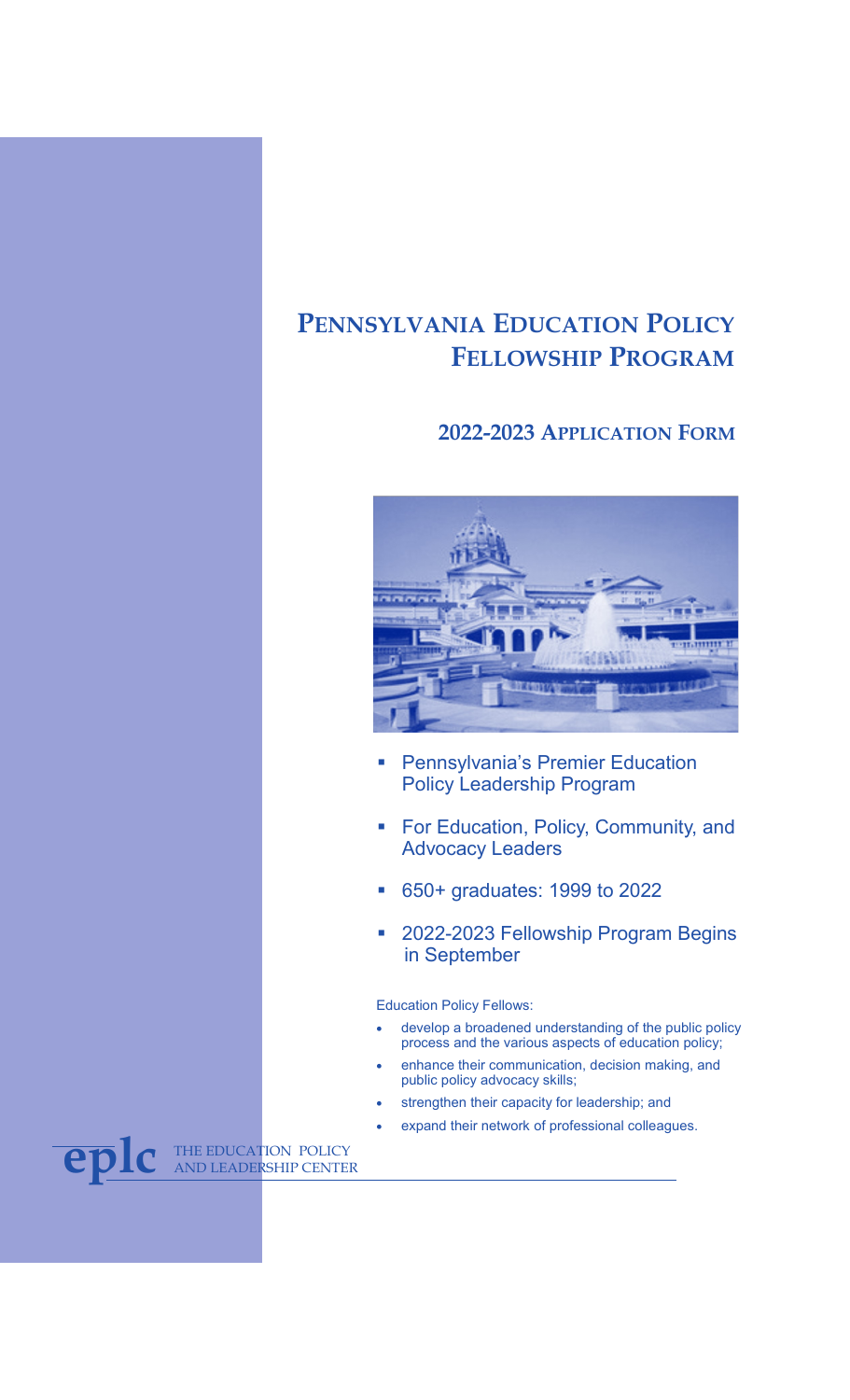# **PENNSYLVANIA EDUCATION POLICY FELLOWSHIP PROGRAM**

## **2022-2023 APPLICATION FORM**



- **Pennsylvania's Premier Education** Policy Leadership Program
- **For Education, Policy, Community, and** Advocacy Leaders
- 650+ graduates: 1999 to 2022
- 2022-2023 Fellowship Program Begins in September

Education Policy Fellows:

- develop a broadened understanding of the public policy process and the various aspects of education policy;
- enhance their communication, decision making, and public policy advocacy skills;
- strengthen their capacity for leadership; and
- expand their network of professional colleagues.

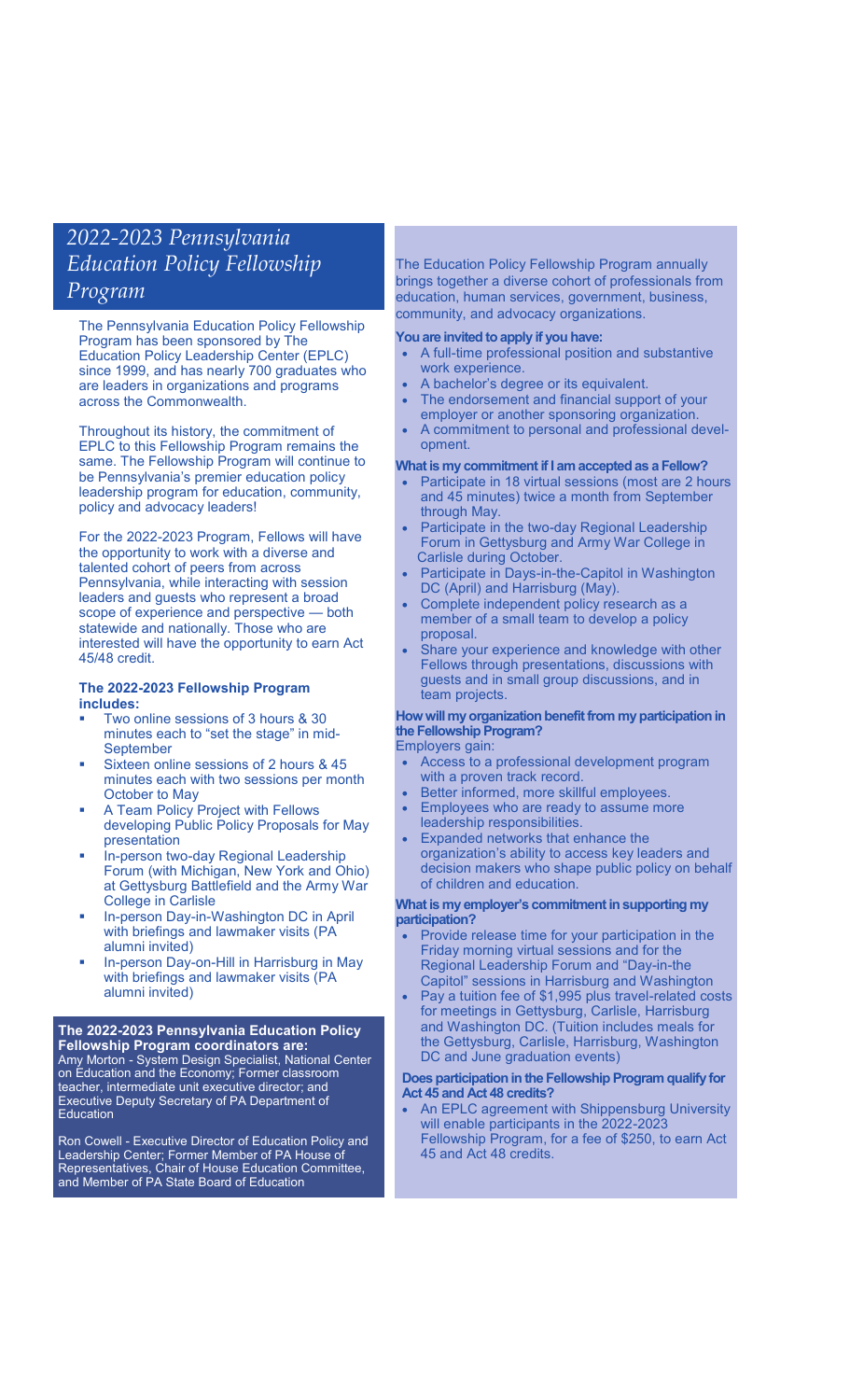## *2022-2023 Pennsylvania Education Policy Fellowship Program*

The Pennsylvania Education Policy Fellowship Program has been sponsored by The Education Policy Leadership Center (EPLC) since 1999, and has nearly 700 graduates who are leaders in organizations and programs across the Commonwealth.

Throughout its history, the commitment of EPLC to this Fellowship Program remains the same. The Fellowship Program will continue to be Pennsylvania's premier education policy leadership program for education, community, policy and advocacy leaders!

For the 2022-2023 Program, Fellows will have the opportunity to work with a diverse and talented cohort of peers from across Pennsylvania, while interacting with session leaders and guests who represent a broad scope of experience and perspective — both statewide and nationally. Those who are interested will have the opportunity to earn Act 45/48 credit.

### **The 2022-2023 Fellowship Program includes:**

- Two online sessions of 3 hours & 30 minutes each to "set the stage" in mid-**September**
- Sixteen online sessions of 2 hours & 45 minutes each with two sessions per month October to May
- A Team Policy Project with Fellows developing Public Policy Proposals for May presentation
- In-person two-day Regional Leadership Forum (with Michigan, New York and Ohio) at Gettysburg Battlefield and the Army War College in Carlisle
- In-person Day-in-Washington DC in April with briefings and lawmaker visits (PA alumni invited)
- In-person Day-on-Hill in Harrisburg in May with briefings and lawmaker visits (PA alumni invited)

### **The 2022-2023 Pennsylvania Education Policy Fellowship Program coordinators are:**

Amy Morton - System Design Specialist, National Center on Education and the Economy; Former classroom teacher, intermediate unit executive director; and Executive Deputy Secretary of PA Department of Education

Ron Cowell - Executive Director of Education Policy and Leadership Center; Former Member of PA House of Representatives, Chair of House Education Committee, and Member of PA State Board of Education

The Education Policy Fellowship Program annually brings together a diverse cohort of professionals from education, human services, government, business, community, and advocacy organizations.

## **You are invited to apply if you have:**

- A full-time professional position and substantive work experience.
- A bachelor's degree or its equivalent.
- The endorsement and financial support of your employer or another sponsoring organization.
- A commitment to personal and professional development.

### **What is my commitment if I am accepted as a Fellow?**

- Participate in 18 virtual sessions (most are 2 hours and 45 minutes) twice a month from September through May.
- Participate in the two-day Regional Leadership Forum in Gettysburg and Army War College in Carlisle during October.
- Participate in Days-in-the-Capitol in Washington DC (April) and Harrisburg (May).
- Complete independent policy research as a member of a small team to develop a policy proposal.
- Share your experience and knowledge with other Fellows through presentations, discussions with guests and in small group discussions, and in team projects.

## **How will my organization benefit from my participation in the Fellowship Program?**

Employers gain:

- Access to a professional development program with a proven track record.
- Better informed, more skillful employees.
- Employees who are ready to assume more
- leadership responsibilities. • Expanded networks that enhance the organization's ability to access key leaders and decision makers who shape public policy on behalf of children and education.

### **What is my employer's commitment in supporting my participation?**

- Provide release time for your participation in the Friday morning virtual sessions and for the Regional Leadership Forum and "Day-in-the Capitol" sessions in Harrisburg and Washington
- Pay a tuition fee of \$1,995 plus travel-related costs for meetings in Gettysburg, Carlisle, Harrisburg and Washington DC. (Tuition includes meals for the Gettysburg, Carlisle, Harrisburg, Washington

## **Does participation in the Fellowship Program qualify for Act 45 and Act 48 credits?**

DC and June graduation events)

• An EPLC agreement with Shippensburg University will enable participants in the 2022-2023 Fellowship Program, for a fee of \$250, to earn Act 45 and Act 48 credits.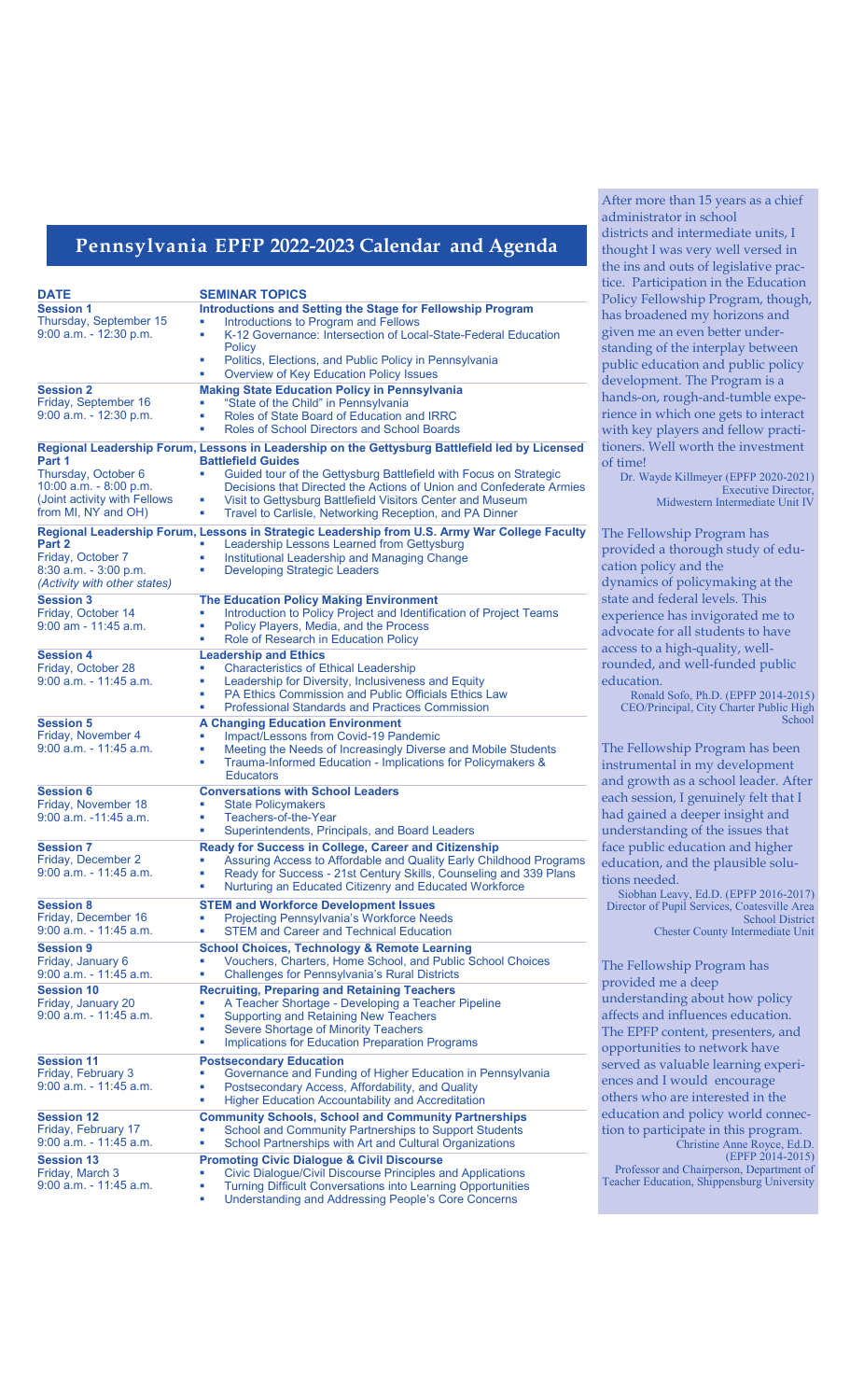## **Pennsylvania EPFP 2022-2023 Calendar and Agenda**

| <b>DATE</b>                                      | <b>SEMINAR TOPICS</b>                                                                                                                       | tice. Par<br>Policy F       |
|--------------------------------------------------|---------------------------------------------------------------------------------------------------------------------------------------------|-----------------------------|
| <b>Session 1</b>                                 | <b>Introductions and Setting the Stage for Fellowship Program</b>                                                                           | has broa                    |
| Thursday, September 15<br>9:00 a.m. - 12:30 p.m. | Introductions to Program and Fellows<br>ш<br>K-12 Governance: Intersection of Local-State-Federal Education<br>ш                            | given m                     |
|                                                  | <b>Policy</b>                                                                                                                               | standing                    |
|                                                  | Politics, Elections, and Public Policy in Pennsylvania<br>ш<br>Overview of Key Education Policy Issues<br>٠                                 | public e<br>develop:        |
| <b>Session 2</b>                                 | <b>Making State Education Policy in Pennsylvania</b>                                                                                        | hands-o                     |
| Friday, September 16                             | "State of the Child" in Pennsylvania                                                                                                        | rience ir                   |
| $9:00$ a.m. $-12:30$ p.m.                        | Roles of State Board of Education and IRRC<br>ш<br>Roles of School Directors and School Boards<br>٠                                         | with key                    |
| Part 1                                           | Regional Leadership Forum, Lessons in Leadership on the Gettysburg Battlefield led by Licensed<br><b>Battlefield Guides</b>                 | tioners.                    |
| Thursday, October 6                              | Guided tour of the Gettysburg Battlefield with Focus on Strategic                                                                           | of time!<br>Dr. W           |
| 10:00 a.m. $-8:00$ p.m.                          | Decisions that Directed the Actions of Union and Confederate Armies                                                                         |                             |
| (Joint activity with Fellows                     | Visit to Gettysburg Battlefield Visitors Center and Museum<br>ш                                                                             |                             |
| from MI, NY and OH)                              | Travel to Carlisle, Networking Reception, and PA Dinner<br>ш                                                                                |                             |
| Part 2                                           | Regional Leadership Forum, Lessons in Strategic Leadership from U.S. Army War College Faculty<br>Leadership Lessons Learned from Gettysburg | The Fell                    |
| Friday, October 7                                | Institutional Leadership and Managing Change<br>٠                                                                                           | provide                     |
| 8:30 a.m. - 3:00 p.m.                            | <b>Developing Strategic Leaders</b><br>ш                                                                                                    | cation p                    |
| (Activity with other states)                     |                                                                                                                                             | dynami                      |
| <b>Session 3</b>                                 | <b>The Education Policy Making Environment</b>                                                                                              | state and                   |
| Friday, October 14                               | Introduction to Policy Project and Identification of Project Teams<br>ш                                                                     | experier                    |
| $9:00$ am - 11:45 a.m.                           | Policy Players, Media, and the Process<br>ш<br>Role of Research in Education Policy<br>ш                                                    | advocat                     |
| <b>Session 4</b>                                 | <b>Leadership and Ethics</b>                                                                                                                | access to                   |
| Friday, October 28                               | <b>Characteristics of Ethical Leadership</b><br>ш                                                                                           | rounded                     |
| $9:00$ a.m. - 11:45 a.m.                         | Leadership for Diversity, Inclusiveness and Equity<br>ш                                                                                     | educatic                    |
|                                                  | PA Ethics Commission and Public Officials Ethics Law<br>ш<br><b>Professional Standards and Practices Commission</b><br>٠                    | CEO/I                       |
| <b>Session 5</b>                                 | <b>A Changing Education Environment</b>                                                                                                     |                             |
| Friday, November 4                               | Impact/Lessons from Covid-19 Pandemic                                                                                                       |                             |
| $9:00$ a.m. $-11:45$ a.m.                        | Meeting the Needs of Increasingly Diverse and Mobile Students<br>ш                                                                          | The Fell                    |
|                                                  | Trauma-Informed Education - Implications for Policymakers &<br>ш<br><b>Educators</b>                                                        | instrum                     |
| <b>Session 6</b>                                 | <b>Conversations with School Leaders</b>                                                                                                    | and grov<br>each ses        |
| Friday, November 18                              | <b>State Policymakers</b><br>ш                                                                                                              |                             |
| $9:00$ a.m. $-11:45$ a.m.                        | Teachers-of-the-Year<br>ш                                                                                                                   | had gair                    |
|                                                  | Superintendents, Principals, and Board Leaders<br>ш                                                                                         | understa                    |
| <b>Session 7</b><br>Friday, December 2           | Ready for Success in College, Career and Citizenship<br>Assuring Access to Affordable and Quality Early Childhood Programs<br>ш             | face pub                    |
| $9:00$ a.m. - 11:45 a.m.                         | Ready for Success - 21st Century Skills, Counseling and 339 Plans<br>ш                                                                      | educatic                    |
|                                                  | Nurturing an Educated Citizenry and Educated Workforce<br>٠                                                                                 | tions nee<br>Siobha         |
| <b>Session 8</b>                                 | <b>STEM and Workforce Development Issues</b>                                                                                                | Director                    |
| Friday, December 16                              | <b>Projecting Pennsylvania's Workforce Needs</b><br>ш                                                                                       |                             |
| $9:00$ a.m. $-11:45$ a.m.                        | <b>STEM and Career and Technical Education</b><br>ш                                                                                         |                             |
| <b>Session 9</b><br>Friday, January 6            | School Choices, Technology & Remote Learning<br>Vouchers, Charters, Home School, and Public School Choices                                  |                             |
| $9:00$ a.m. $-11:45$ a.m.                        | <b>Challenges for Pennsylvania's Rural Districts</b><br>ш                                                                                   | The Fell                    |
| <b>Session 10</b>                                | <b>Recruiting, Preparing and Retaining Teachers</b>                                                                                         | provide                     |
| Friday, January 20                               | A Teacher Shortage - Developing a Teacher Pipeline                                                                                          | understa                    |
| 9:00 a.m. - 11:45 a.m.                           | <b>Supporting and Retaining New Teachers</b><br>ш                                                                                           | affects a                   |
|                                                  | Severe Shortage of Minority Teachers<br>×.                                                                                                  | The EPF                     |
|                                                  | <b>Implications for Education Preparation Programs</b><br>٠                                                                                 | opportu                     |
| <b>Session 11</b>                                | <b>Postsecondary Education</b>                                                                                                              | served a                    |
| Friday, February 3<br>9:00 a.m. - 11:45 a.m.     | Governance and Funding of Higher Education in Pennsylvania<br>ш<br>ш                                                                        | ences an                    |
|                                                  | Postsecondary Access, Affordability, and Quality<br><b>Higher Education Accountability and Accreditation</b><br>ш                           | others w                    |
| <b>Session 12</b>                                | <b>Community Schools, School and Community Partnerships</b>                                                                                 | educatic                    |
| Friday, February 17                              | School and Community Partnerships to Support Students                                                                                       | tion to p                   |
| $9:00$ a.m. $-11:45$ a.m.                        | School Partnerships with Art and Cultural Organizations<br>ш                                                                                |                             |
| <b>Session 13</b>                                | <b>Promoting Civic Dialogue &amp; Civil Discourse</b>                                                                                       |                             |
| Friday, March 3                                  | Civic Dialogue/Civil Discourse Principles and Applications<br>ш                                                                             | Profess<br><b>Teacher E</b> |
| 9:00 a.m. - 11:45 a.m.                           | <b>Turning Difficult Conversations into Learning Opportunities</b><br>ш                                                                     |                             |
|                                                  | ٠<br>Understanding and Addressing People's Core Concerns                                                                                    |                             |

After more than 15 years as a chief administrator in school districts and intermediate units, I thought I was very well versed in the ins and outs of legislative pracarticipation in the Education Fellowship Program, though, badened my horizons and me an even better underng of the interplay between public education and public policy pment. The Program is a on, rough-and-tumble expein which one gets to interact ey players and fellow practi-Well worth the investment

> Wayde Killmeyer (EPFP 2020-2021) Executive Director, Midwestern Intermediate Unit IV

Howship Program has led a thorough study of edupolicy and the hics of policymaking at the nd federal levels. This ence has invigorated me to ate for all students to have to a high-quality, welled, and well-funded public ion.

Ronald Sofo, Ph.D. (EPFP 2014-2015) CEO/Principal, City Charter Public High **School** 

Howship Program has been nental in my development owth as a school leader. After ession, I genuinely felt that I ined a deeper insight and standing of the issues that ablic education and higher ion, and the plausible soluleeded.

Siobhan Leavy, Ed.D. (EPFP 2016-2017) Director of Pupil Services, Coatesville Area School District Chester County Intermediate Unit

Ilowship Program has led me a deep standing about how policy and influences education. PFP content, presenters, and tunities to network have as valuable learning experiand I would encourage who are interested in the ion and policy world connecparticipate in this program. Christine Anne Royce, Ed.D.

(EPFP 2014-2015) Professor and Chairperson, Department of Teacher Education, Shippensburg University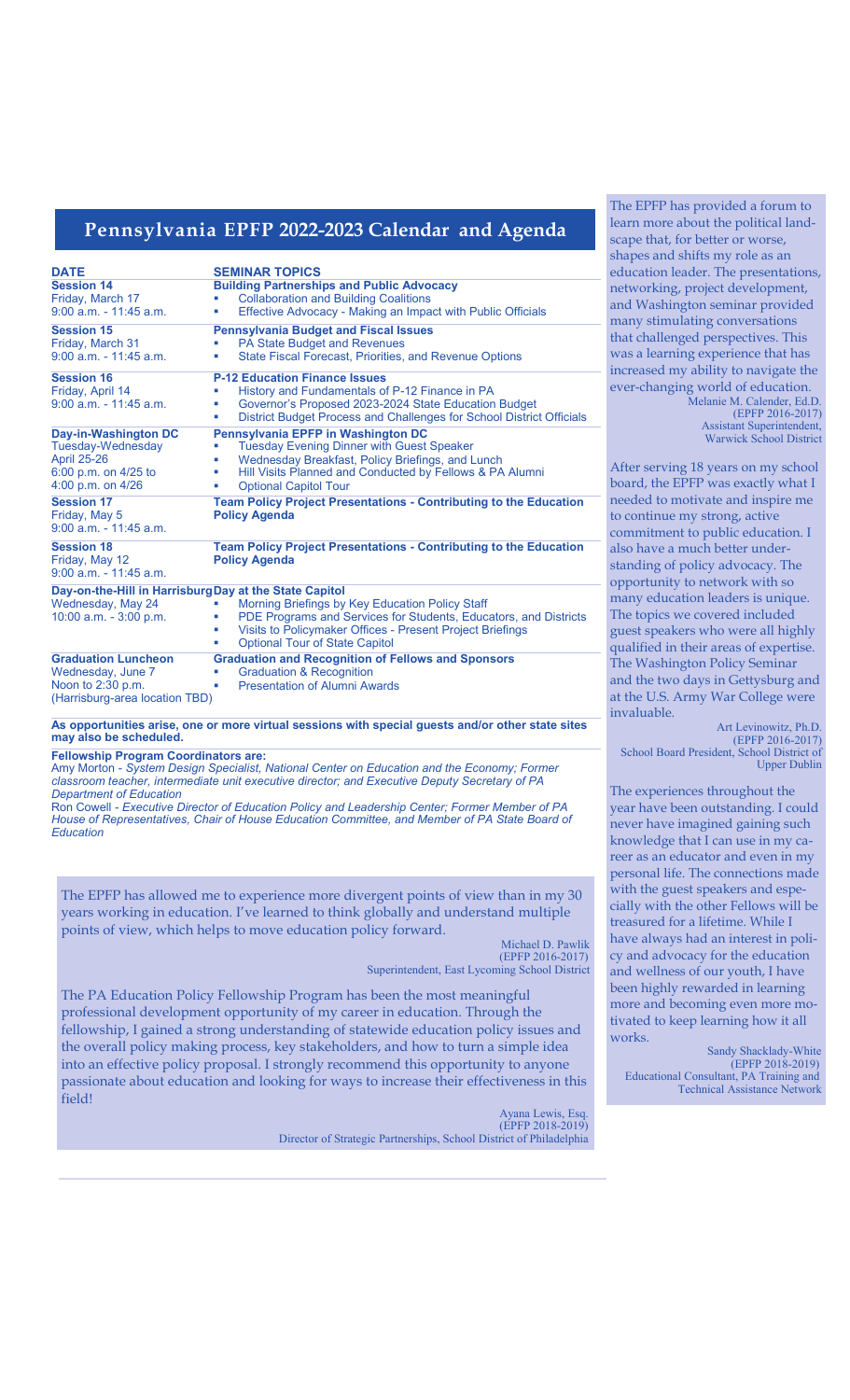## **Pennsylvania EPFP 2022-2023 Calendar and Agenda**

| <b>DATE</b>                                                                                                         | <b>SEMINAR TOPICS</b>                                                                                                                                                                                                                                 |
|---------------------------------------------------------------------------------------------------------------------|-------------------------------------------------------------------------------------------------------------------------------------------------------------------------------------------------------------------------------------------------------|
| <b>Session 14</b><br>Friday, March 17<br>$9:00$ a.m. $-11:45$ a.m.                                                  | <b>Building Partnerships and Public Advocacy</b><br><b>Collaboration and Building Coalitions</b><br>Effective Advocacy - Making an Impact with Public Officials                                                                                       |
| <b>Session 15</b><br>Friday, March 31<br>$9:00$ a.m. $-11:45$ a.m.                                                  | <b>Pennsylvania Budget and Fiscal Issues</b><br>PA State Budget and Revenues<br><b>State Fiscal Forecast, Priorities, and Revenue Options</b><br>ш                                                                                                    |
| <b>Session 16</b><br>Friday, April 14<br>$9:00$ a.m. $-11:45$ a.m.                                                  | <b>P-12 Education Finance Issues</b><br>History and Fundamentals of P-12 Finance in PA<br>ш<br>Governor's Proposed 2023-2024 State Education Budget<br>District Budget Process and Challenges for School District Officials<br>ш                      |
| Day-in-Washington DC<br><b>Tuesday-Wednesday</b><br><b>April 25-26</b><br>6:00 p.m. on 4/25 to<br>4:00 p.m. on 4/26 | Pennsylvania EPFP in Washington DC<br><b>Tuesday Evening Dinner with Guest Speaker</b><br>Wednesday Breakfast, Policy Briefings, and Lunch<br>п<br>Hill Visits Planned and Conducted by Fellows & PA Alumni<br>ш<br><b>Optional Capitol Tour</b><br>ш |
| <b>Session 17</b><br>Friday, May 5<br>$9:00$ a.m. $-11:45$ a.m.                                                     | <b>Team Policy Project Presentations - Contributing to the Education</b><br><b>Policy Agenda</b>                                                                                                                                                      |
| <b>Session 18</b><br>Friday, May 12<br>$9:00$ a.m. $-11:45$ a.m.                                                    | <b>Team Policy Project Presentations - Contributing to the Education</b><br><b>Policy Agenda</b>                                                                                                                                                      |
| Day-on-the-Hill in Harrisburg Day at the State Capitol<br>Wednesday, May 24<br>10:00 a.m. - 3:00 p.m.               | Morning Briefings by Key Education Policy Staff<br>PDE Programs and Services for Students, Educators, and Districts<br>Visits to Policymaker Offices - Present Project Briefings<br>ш<br><b>Optional Tour of State Capitol</b><br>ш                   |
| <b>Graduation Luncheon</b><br>Wednesday, June 7<br>Noon to 2:30 p.m.<br>(Harrisburg-area location TBD)              | <b>Graduation and Recognition of Fellows and Sponsors</b><br><b>Graduation &amp; Recognition</b><br><b>Presentation of Alumni Awards</b><br>п                                                                                                         |

**As opportunities arise, one or more virtual sessions with special guests and/or other state sites may also be scheduled.**

**Fellowship Program Coordinators are:**

Amy Morton - *System Design Specialist, National Center on Education and the Economy; Former classroom teacher, intermediate unit executive director; and Executive Deputy Secretary of PA Department of Education*

Ron Cowell - *Executive Director of Education Policy and Leadership Center; Former Member of PA*  House of Representatives, Chair of House Education Committee, and Member of PA State Board of *Education*

The EPFP has allowed me to experience more divergent points of view than in my 30 years working in education. I've learned to think globally and understand multiple points of view, which helps to move education policy forward.

 Michael D. Pawlik (EPFP 2016-2017)

Superintendent, East Lycoming School District

The PA Education Policy Fellowship Program has been the most meaningful professional development opportunity of my career in education. Through the fellowship, I gained a strong understanding of statewide education policy issues and the overall policy making process, key stakeholders, and how to turn a simple idea into an effective policy proposal. I strongly recommend this opportunity to anyone passionate about education and looking for ways to increase their effectiveness in this field!

> Ayana Lewis, Esq. (EPFP 2018-2019) Director of Strategic Partnerships, School District of Philadelphia

The EPFP has provided a forum to learn more about the political landscape that, for better or worse, shapes and shifts my role as an education leader. The presentations, networking, project development, and Washington seminar provided many stimulating conversations that challenged perspectives. This was a learning experience that has increased my ability to navigate the ever-changing world of education. Melanie M. Calender, Ed.D. (EPFP 2016-2017) Assistant Superintendent, Warwick School District

After serving 18 years on my school board, the EPFP was exactly what I needed to motivate and inspire me to continue my strong, active commitment to public education. I also have a much better understanding of policy advocacy. The opportunity to network with so many education leaders is unique. The topics we covered included guest speakers who were all highly qualified in their areas of expertise. The Washington Policy Seminar and the two days in Gettysburg and at the U.S. Army War College were invaluable.

Art Levinowitz, Ph.D. (EPFP 2016-2017) School Board President, School District of Upper Dublin

The experiences throughout the year have been outstanding. I could never have imagined gaining such knowledge that I can use in my career as an educator and even in my personal life. The connections made with the guest speakers and especially with the other Fellows will be treasured for a lifetime. While I have always had an interest in policy and advocacy for the education and wellness of our youth, I have been highly rewarded in learning more and becoming even more motivated to keep learning how it all works.

### **Sandy Shacklady-White** Sandy Shacklady-White (EPFP 2018-2019) Educational Consultant, PA Training and Technical Assistance Network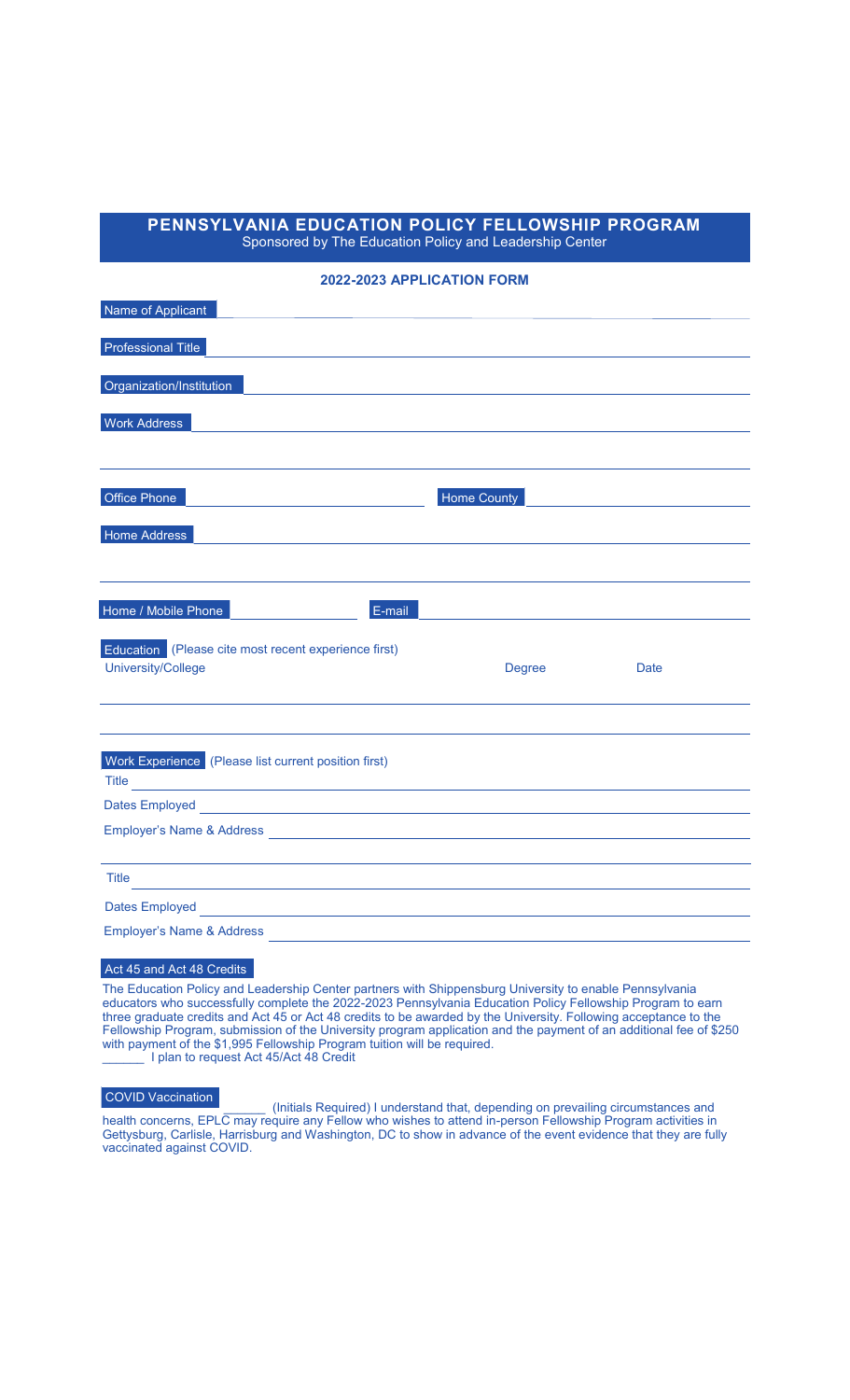## **PENNSYLVANIA EDUCATION POLICY FELLOWSHIP PROGRAM**

Sponsored by The Education Policy and Leadership Center

## **2022-2023 APPLICATION FORM**

| Name of Applicant                                                                                                                                                                                                                                                           |               |             |
|-----------------------------------------------------------------------------------------------------------------------------------------------------------------------------------------------------------------------------------------------------------------------------|---------------|-------------|
| Professional Title                                                                                                                                                                                                                                                          |               |             |
| Organization/Institution                                                                                                                                                                                                                                                    |               |             |
|                                                                                                                                                                                                                                                                             |               |             |
| <b>Work Address</b>                                                                                                                                                                                                                                                         |               |             |
|                                                                                                                                                                                                                                                                             |               |             |
| <b>Office Phone</b>                                                                                                                                                                                                                                                         | Home County   |             |
| Home Address                                                                                                                                                                                                                                                                |               |             |
|                                                                                                                                                                                                                                                                             |               |             |
|                                                                                                                                                                                                                                                                             |               |             |
| E-mail<br>Home / Mobile Phone                                                                                                                                                                                                                                               |               |             |
| Education (Please cite most recent experience first)                                                                                                                                                                                                                        |               |             |
| University/College                                                                                                                                                                                                                                                          | <b>Degree</b> | <b>Date</b> |
|                                                                                                                                                                                                                                                                             |               |             |
|                                                                                                                                                                                                                                                                             |               |             |
| Work Experience (Please list current position first)                                                                                                                                                                                                                        |               |             |
| Title <b>Contract Contract Contract Contract Contract Contract Contract Contract Contract Contract Contract Contract Contract Contract Contract Contract Contract Contract Contract Contract Contract Contract Contract Contract</b>                                        |               |             |
| Dates Employed <b>Contract Contract Contract Contract Contract Contract Contract Contract Contract Contract Contract Contract Contract Contract Contract Contract Contract Contract Contract Contract Contract Contract Contract</b>                                        |               |             |
|                                                                                                                                                                                                                                                                             |               |             |
|                                                                                                                                                                                                                                                                             |               |             |
| <b>Title</b>                                                                                                                                                                                                                                                                |               |             |
|                                                                                                                                                                                                                                                                             |               |             |
| Dates Employed <b>Example 2018</b> 2019 12:00:00 12:00:00 12:00:00 12:00:00 12:00:00 12:00:00 12:00:00 12:00:00 12:00:00 12:00:00 12:00:00 12:00:00 12:00:00 12:00:00 12:00:00 12:00:00 12:00:00 12:00:00 12:00:00 12:00:00 12:00:0<br><b>Employer's Name &amp; Address</b> |               |             |

## Act 45 and Act 48 Credits

The Education Policy and Leadership Center partners with Shippensburg University to enable Pennsylvania educators who successfully complete the 2022-2023 Pennsylvania Education Policy Fellowship Program to earn three graduate credits and Act 45 or Act 48 credits to be awarded by the University. Following acceptance to the Fellowship Program, submission of the University program application and the payment of an additional fee of \$250 with payment of the \$1,995 Fellowship Program tuition will be required. **Late 2018** I plan to request Act 45/Act 48 Credit

\_\_\_\_\_\_ (Initials Required) I understand that, depending on prevailing circumstances and health concerns, EPLC may require any Fellow who wishes to attend in-person Fellowship Program activities in Gettysburg, Carlisle, Harrisburg and Washington, DC to show in advance of the event evidence that they are fully vaccinated against COVID. COVID Vaccination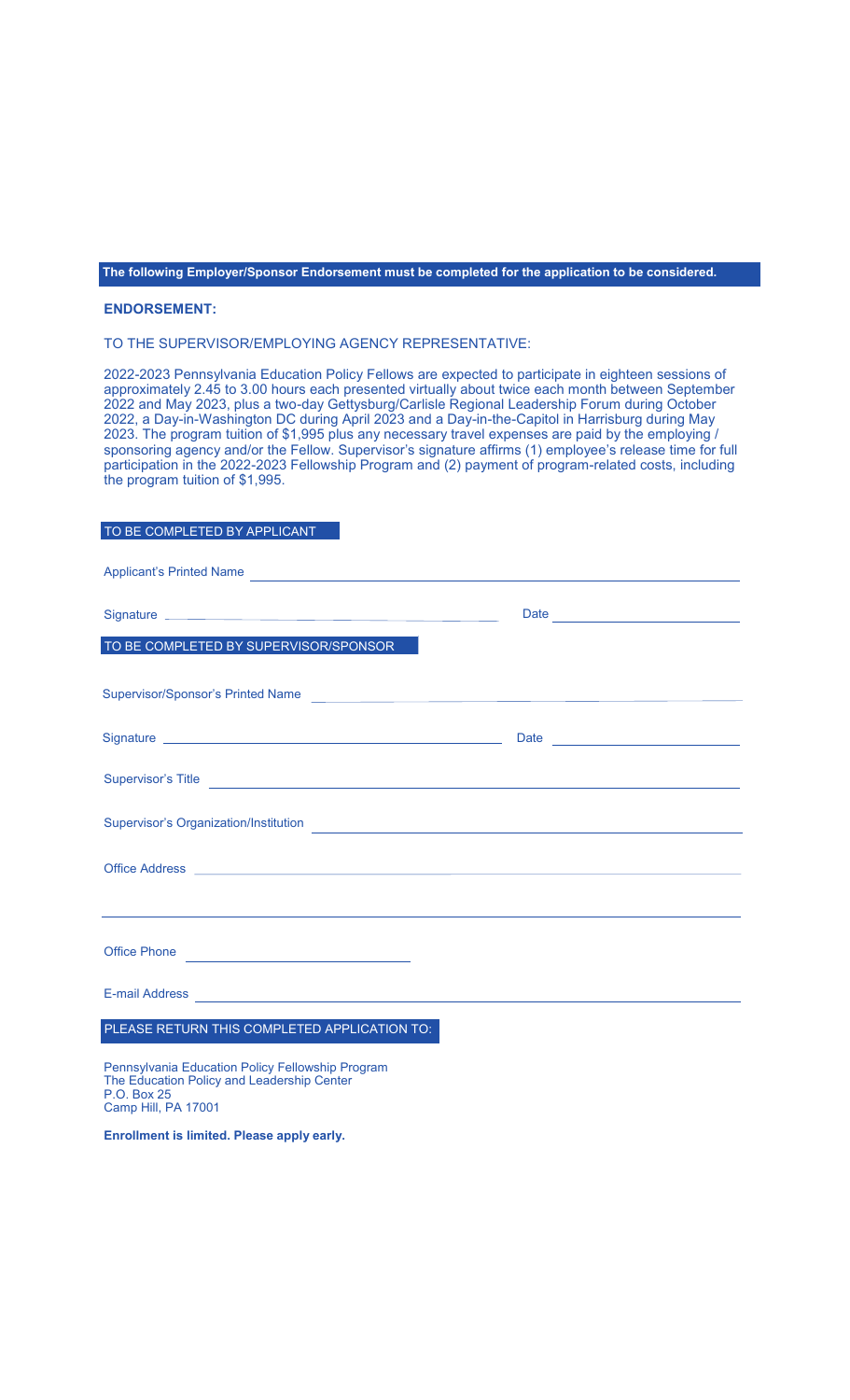**The following Employer/Sponsor Endorsement must be completed for the application to be considered.**

### **ENDORSEMENT:**

TO THE SUPERVISOR/EMPLOYING AGENCY REPRESENTATIVE:

2022-2023 Pennsylvania Education Policy Fellows are expected to participate in eighteen sessions of approximately 2.45 to 3.00 hours each presented virtually about twice each month between September 2022 and May 2023, plus a two-day Gettysburg/Carlisle Regional Leadership Forum during October 2022, a Day-in-Washington DC during April 2023 and a Day-in-the-Capitol in Harrisburg during May 2023. The program tuition of \$1,995 plus any necessary travel expenses are paid by the employing / sponsoring agency and/or the Fellow. Supervisor's signature affirms (1) employee's release time for full participation in the 2022-2023 Fellowship Program and (2) payment of program-related costs, including the program tuition of \$1,995.

## TO BE COMPLETED BY APPLICANT

| Applicant's Printed Name                                                                                                                                                                                                             |  |
|--------------------------------------------------------------------------------------------------------------------------------------------------------------------------------------------------------------------------------------|--|
|                                                                                                                                                                                                                                      |  |
| TO BE COMPLETED BY SUPERVISOR/SPONSOR                                                                                                                                                                                                |  |
| Supervisor/Sponsor's Printed Name                                                                                                                                                                                                    |  |
|                                                                                                                                                                                                                                      |  |
| Supervisor's Title <b>Exercísies Contract Contract Contract Contract Contract Contract Contract Contract Contract Contract Contract Contract Contract Contract Contract Contract Contract Contract Contract Contract Contract </b>   |  |
| Supervisor's Organization/Institution <b>Constitution Constitution Constitution Constitution Constitution Constitution</b>                                                                                                           |  |
|                                                                                                                                                                                                                                      |  |
| <u> 1989 - Andrea Stadt Brander, amerikansk politiker (d. 1989)</u>                                                                                                                                                                  |  |
| Office Phone                                                                                                                                                                                                                         |  |
| E-mail Address <b>Contract Contract Contract Contract Contract Contract Contract Contract Contract Contract Contract Contract Contract Contract Contract Contract Contract Contract Contract Contract Contract Contract Contract</b> |  |
| PLEASE RETURN THIS COMPLETED APPLICATION TO:                                                                                                                                                                                         |  |
| Pennsylvania Education Policy Fellowship Program<br>The Education Policy and Leadership Center<br>P.O. Box 25                                                                                                                        |  |

Camp Hill, PA 17001

**Enrollment is limited. Please apply early.**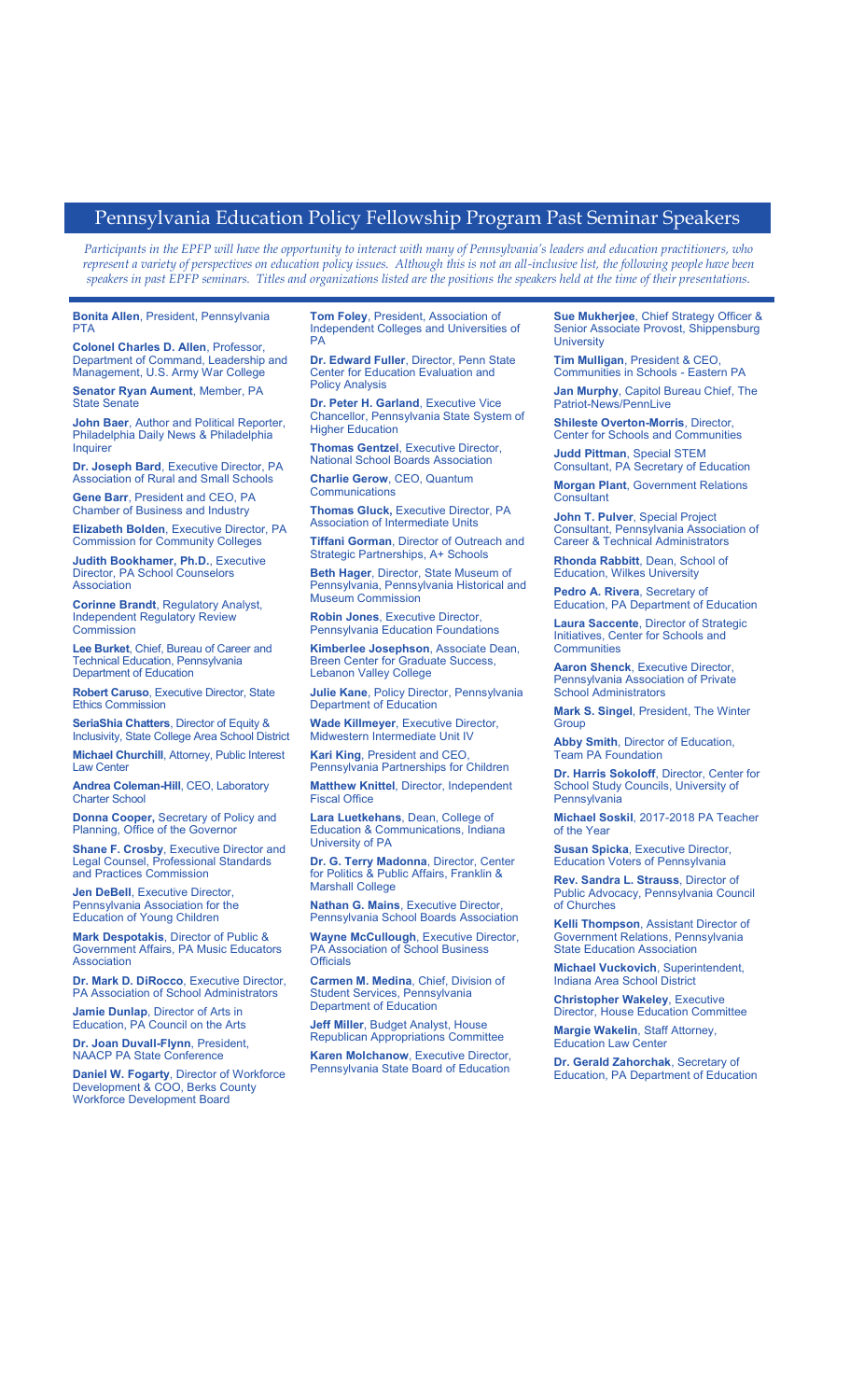## Pennsylvania Education Policy Fellowship Program Past Seminar Speakers

*Participants in the EPFP will have the opportunity to interact with many of Pennsylvania's leaders and education practitioners, who represent a variety of perspectives on education policy issues. Although this is not an all-inclusive list, the following people have been speakers in past EPFP seminars. Titles and organizations listed are the positions the speakers held at the time of their presentations.*

**Bonita Allen**, President, Pennsylvania **PTA** 

**Colonel Charles D. Allen**, Professor, Department of Command, Leadership and Management, U.S. Army War Colleg

**Senator Ryan Aument**, Member, PA State Senate

**John Baer**, Author and Political Reporter, Philadelphia Daily News & Philadelphia **Inquirer** 

**Dr. Joseph Bard**, Executive Director, PA Association of Rural and Small Schools

**Gene Barr**, President and CEO, PA Chamber of Business and Industry

**Elizabeth Bolden**, Executive Director, PA Commission for Community Colleges

**Judith Bookhamer, Ph.D.**, Executive Director, PA School Counselors Association

**Corinne Brandt**, Regulatory Analyst, Independent Regulatory Review **Commission** 

**Lee Burket**, Chief, Bureau of Career and Technical Education, Pennsylvania Department of Education

**Robert Caruso**, Executive Director, State Ethics Commission

**SeriaShia Chatters**, Director of Equity & Inclusivity, State College Area School District

**Michael Churchill**, Attorney, Public Interest Law Center

**Andrea Coleman-Hill**, CEO, Laboratory Charter School

**Donna Cooper,** Secretary of Policy and Planning, Office of the Governor

**Shane F. Crosby**, Executive Director and Legal Counsel, Professional Standards and Practices Commission

**Jen DeBell**, Executive Director Pennsylvania Association for the Education of Young Children

**Mark Despotakis**, Director of Public & Government Affairs, PA Music Educators **Association** 

**Dr. Mark D. DiRocco**, Executive Director, PA Association of School Administrators

**Jamie Dunlap**, Director of Arts in Education, PA Council on the Arts

**Dr. Joan Duvall-Flynn**, President, NAACP PA State Conference

**Daniel W. Fogarty**, Director of Workforce Development & COO, Berks County Workforce Development Board

**Tom Foley**, President, Association of Independent Colleges and Universities of PA

**Dr. Edward Fuller**, Director, Penn State Center for Education Evaluation and Policy Analysis

**Dr. Peter H. Garland**, Executive Vice Chancellor, Pennsylvania State System of Higher Education

**Thomas Gentzel**, Executive Director, National School Boards Association

**Charlie Gerow**, CEO, Quantum **Communications** 

**Thomas Gluck, Executive Director, PA** Association of Intermediate Units

**Tiffani Gorman**, Director of Outreach and Strategic Partnerships, A+ Schools

**Beth Hager**, Director, State Museum of Pennsylvania, Pennsylvania Historical and Museum Commission

**Robin Jones**, Executive Director, Pennsylvania Education Foundations

**Kimberlee Josephson**, Associate Dean, Breen Center for Graduate Success, Lebanon Valley College

**Julie Kane**, Policy Director, Pennsylvania Department of Education

**Wade Killmeyer**, Executive Director, Midwestern Intermediate Unit IV

**Kari King**, President and CEO, Pennsylvania Partnerships for Children

**Matthew Knittel**, Director, Independent Fiscal Office

**Lara Luetkehans**, Dean, College of Education & Communications, Indiana University of PA

**Dr. G. Terry Madonna**, Director, Center for Politics & Public Affairs, Franklin & Marshall College

**Nathan G. Mains**, Executive Director, Pennsylvania School Boards Association

**Wayne McCullough**, Executive Director, PA Association of School Business **Officials** 

**Carmen M. Medina**, Chief, Division of Student Services, Pennsylvania Department of Education

**Jeff Miller**, Budget Analyst, House Republican Appropriations Committee

**Karen Molchanow**, Executive Director, Pennsylvania State Board of Education

**Sue Mukherjee**, Chief Strategy Officer & Senior Associate Provost, Shippensburg **University** 

**Tim Mulligan**, President & CEO, Communities in Schools - Eastern PA

**Jan Murphy**, Capitol Bureau Chief, The Patriot-News/PennLive

**Shileste Overton-Morris**, Director, Center for Schools and Communities

**Judd Pittman**, Special STEM Consultant, PA Secretary of Education

**Morgan Plant**, Government Relations **Consultant** 

**John T. Pulver**, Special Project Consultant, Pennsylvania Association of Career & Technical Administrators

**Rhonda Rabbitt**, Dean, School of Education, Wilkes University

**Pedro A. Rivera**, Secretary of Education, PA Department of Education

**Laura Saccente**, Director of Strategic Initiatives, Center for Schools and **Communities** 

**Aaron Shenck**, Executive Director, Pennsylvania Association of Private School Administrators

**Mark S. Singel**, President, The Winter **Group** 

**Abby Smith**, Director of Education, Team PA Foundation

**Dr. Harris Sokoloff**, Director, Center for School Study Councils, University of Pennsylvania

**Michael Soskil**, 2017-2018 PA Teacher of the Year

**Susan Spicka**, Executive Director, Education Voters of Pennsylvania

**Rev. Sandra L. Strauss**, Director of Public Advocacy, Pennsylvania Council of Churches

**Kelli Thompson**, Assistant Director of Government Relations, Pennsylvania State Education Association

**Michael Vuckovich**, Superintendent, Indiana Area School District

**Christopher Wakeley**, Executive Director, House Education Committee

**Margie Wakelin**, Staff Attorney, Education Law Center

**Dr. Gerald Zahorchak**, Secretary of Education, PA Department of Education